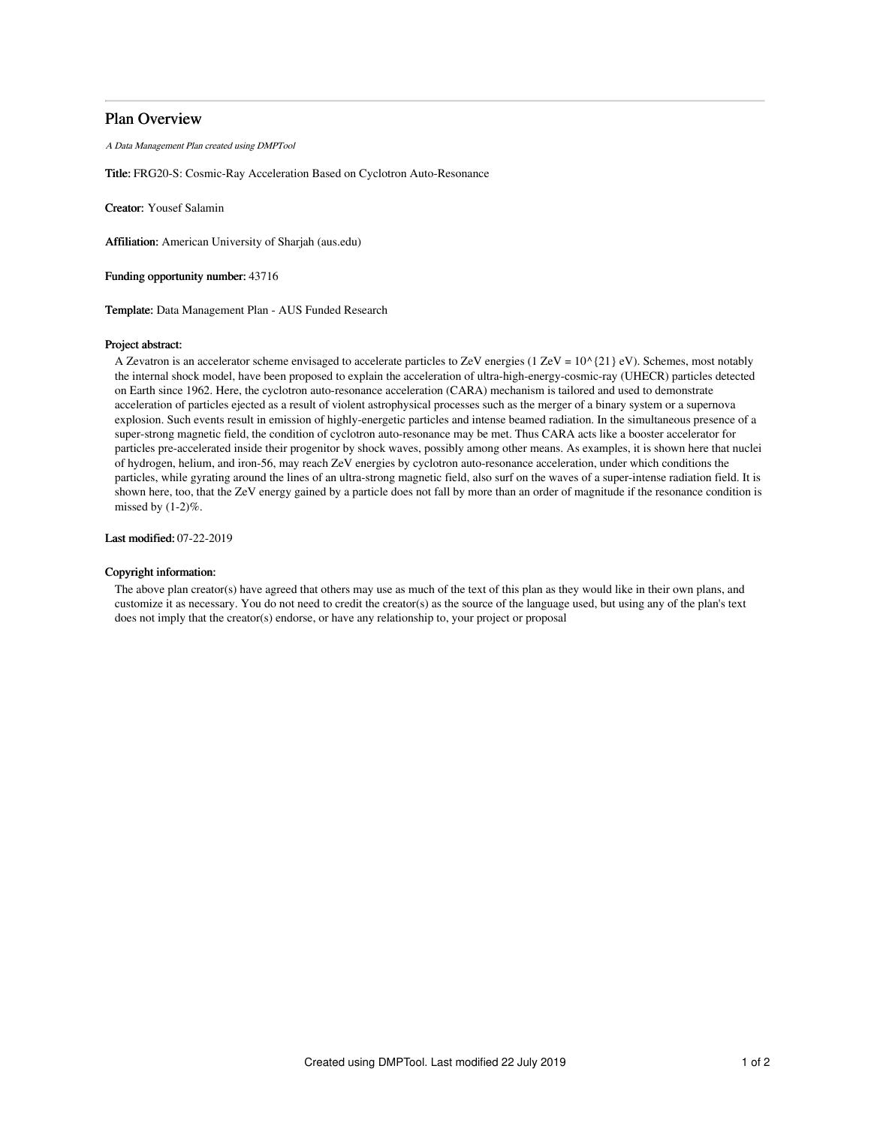# Plan Overview

A Data Management Plan created using DMPTool

Title: FRG20-S: Cosmic-Ray Acceleration Based on Cyclotron Auto-Resonance

Creator: Yousef Salamin

Affiliation: American University of Sharjah (aus.edu)

Funding opportunity number: 43716

Template: Data Management Plan - AUS Funded Research

#### Project abstract:

A Zevatron is an accelerator scheme envisaged to accelerate particles to ZeV energies (1 ZeV =  $10^{6}$ {21} eV). Schemes, most notably the internal shock model, have been proposed to explain the acceleration of ultra-high-energy-cosmic-ray (UHECR) particles detected on Earth since 1962. Here, the cyclotron auto-resonance acceleration (CARA) mechanism is tailored and used to demonstrate acceleration of particles ejected as a result of violent astrophysical processes such as the merger of a binary system or a supernova explosion. Such events result in emission of highly-energetic particles and intense beamed radiation. In the simultaneous presence of a super-strong magnetic field, the condition of cyclotron auto-resonance may be met. Thus CARA acts like a booster accelerator for particles pre-accelerated inside their progenitor by shock waves, possibly among other means. As examples, it is shown here that nuclei of hydrogen, helium, and iron-56, may reach ZeV energies by cyclotron auto-resonance acceleration, under which conditions the particles, while gyrating around the lines of an ultra-strong magnetic field, also surf on the waves of a super-intense radiation field. It is shown here, too, that the ZeV energy gained by a particle does not fall by more than an order of magnitude if the resonance condition is missed by  $(1-2)\%$ .

Last modified: 07-22-2019

### Copyright information:

The above plan creator(s) have agreed that others may use as much of the text of this plan as they would like in their own plans, and customize it as necessary. You do not need to credit the creator(s) as the source of the language used, but using any of the plan's text does not imply that the creator(s) endorse, or have any relationship to, your project or proposal